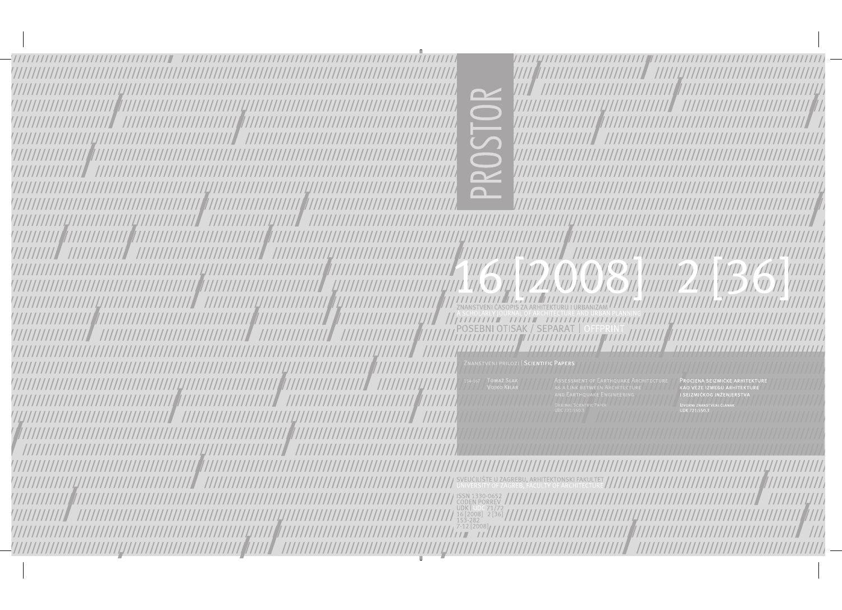

ZNANSTVENI PRILOZI | SCIENTIFIC PAPERS

PROCJENA SEIZMIČKE ARHITEKT KAO VEZE IZMEĐU ARHITEKTURE I SEIZMIČKOG INŽENJERSTVA

**ISSN 1330-0652** ////////////// UDK | UDC 71/72<br>16 [2008] 2 [36] **/ / / / /**<br>153-282 7777*177777777777777777*  $[2008]$ 77777777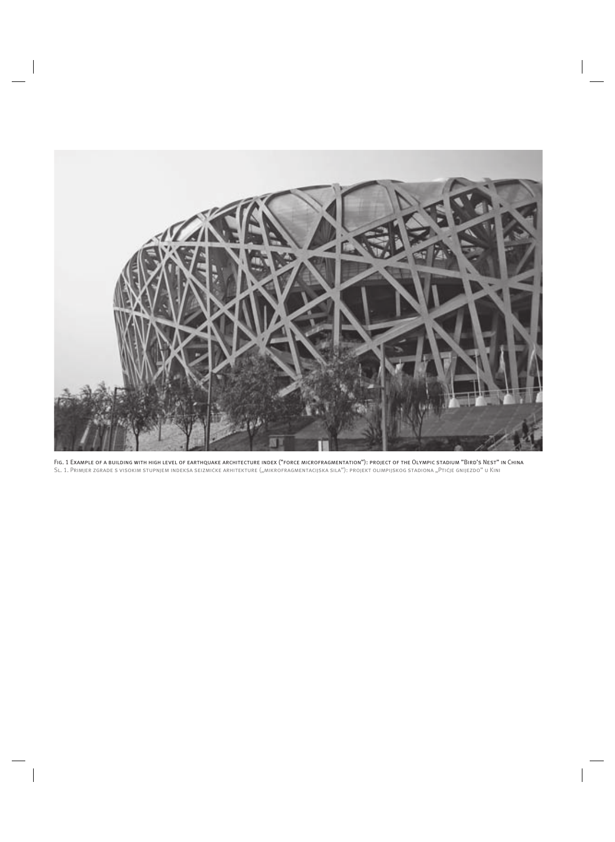

Fig. 1 Example of a building with high level of earthquake architecture index ("force microfragmentation"): project of the Olympic stadium "Bird's Nest" in China SL. 1. Primjer zgrade s visokim stupnjem indeksa seizmičke arhitekture ("mikrofragmentacijska sila"): projekt olimpijskog stadiona "Ptičje gnijezdo" u Kini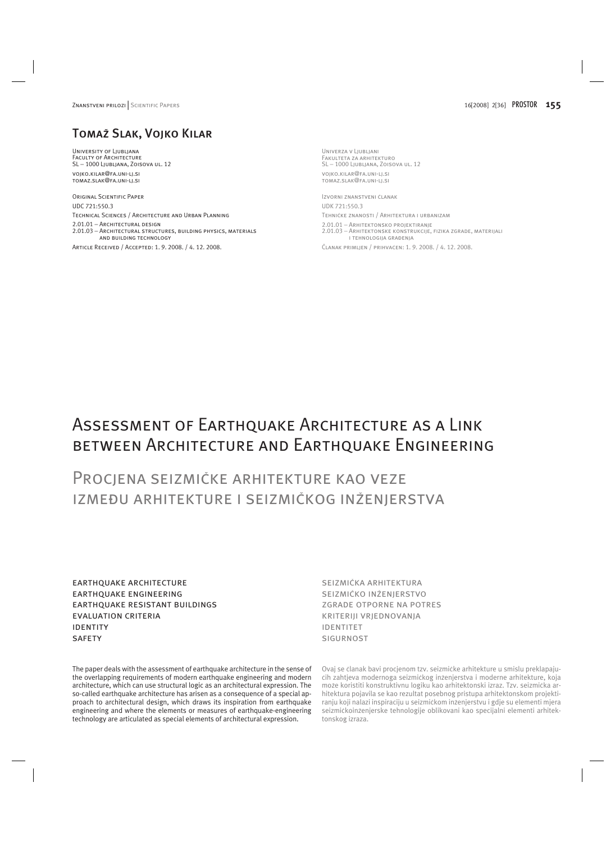# Tomaž Slak, Vojko Kilar

University of Ljubljana Faculty of Architecture SL − 1000 Ljubljana, Zoisova ul. 12

vojko.kilar@fa.uni-lj.si tomaz.slak@fa.uni-lj.si

Original Scientific Paper UDC 721:550.3 Technical Sciences / Architecture and Urban Planning 2.01.01 − Architectural design 2.01.03 − Architectural structures, building physics, materials and building technology Article Received / Accepted: 1. 9. 2008. / 4. 12. 2008.

Univerza v Ljubljani Fakulteta za arhitekturo SL − 1000 Ljubljana, Zoisova ul. 12

vojko.kilar@fa.uni-lj.si tomaz.slak@fa.uni-lj.si

Izvorni znanstveni èlanak UDK 721:550.3 Tehnièke znanosti / Arhitektura i urbanizam 2.01.01 − Arhitektonsko projektiranje 2.01.03 − Arhitektonske konstrukcije, fizika zgrade, materijali i tehnologija graðenja Èlanak primljen / prihvaæen: 1. 9. 2008. / 4. 12. 2008.

Assessment of Earthquake Architecture as a Link between Architecture and Earthquake Engineering

# Procjena seizmièke arhitekture kao veze izmeðu arhitekture i seizmièkog inženjerstva

earthquake architecture earthquake engineering earthquake resistant buildings evaluation criteria identity **SAFETY** 

The paper deals with the assessment of earthquake architecture in the sense of the overlapping requirements of modern earthquake engineering and modern architecture, which can use structural logic as an architectural expression. The so-called earthquake architecture has arisen as a consequence of a special approach to architectural design, which draws its inspiration from earthquake engineering and where the elements or measures of earthquake-engineering technology are articulated as special elements of architectural expression.

seizmièka arhitektura seizmièko inženjerstvo zgrade otporne na potres kriteriji vrjednovanja identitet **SIGURNOST** 

Ovaj se članak bavi procjenom tzv. seizmičke arhitekture u smislu preklapajuæih zahtjeva modernoga seizmièkog inženjerstva i moderne arhitekture, koja može koristiti konstruktivnu logiku kao arhitektonski izraz. Tzv. seizmièka arhitektura pojavila se kao rezultat posebnog pristupa arhitektonskom projektiranju koji nalazi inspiraciju u seizmičkom inženjerstvu i gdje su elementi mjera seizmièkoinženjerske tehnologije oblikovani kao specijalni elementi arhitektonskog izraza.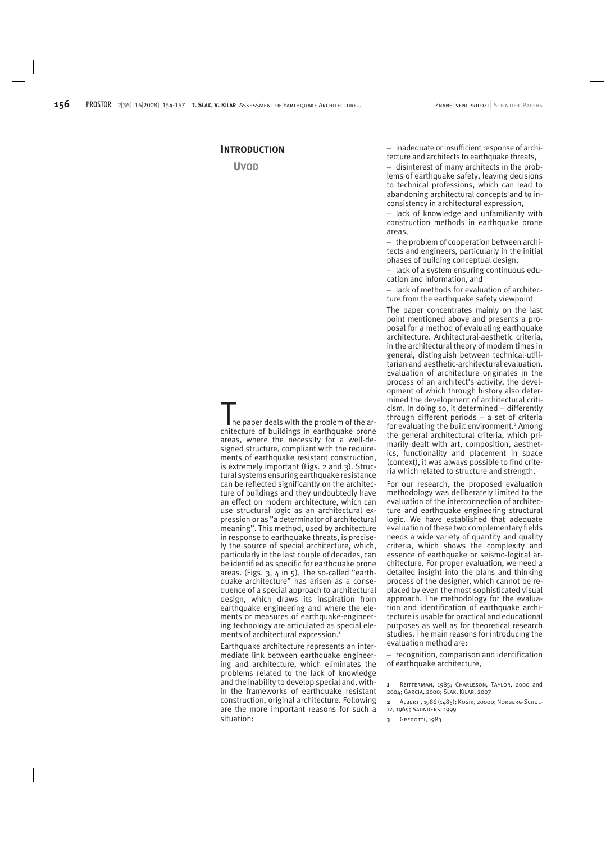## **INTRODUCTION**

**UVOD**

 $\blacksquare$  he paper deals with the problem of the architecture of buildings in earthquake prone areas, where the necessity for a well-designed structure, compliant with the requirements of earthquake resistant construction, is extremely important (Figs. 2 and 3). Structural systems ensuring earthquake resistance can be reflected significantly on the architecture of buildings and they undoubtedly have an effect on modern architecture, which can use structural logic as an architectural expression or as "a determinator of architectural meaning". This method, used by architecture in response to earthquake threats, is precisely the source of special architecture, which, particularly in the last couple of decades, can be identified as specific for earthquake prone areas. (Figs. 3, 4 in 5). The so-called "earthquake architecture" has arisen as a consequence of a special approach to architectural design, which draws its inspiration from earthquake engineering and where the elements or measures of earthquake-engineering technology are articulated as special elements of architectural expression.<sup>1</sup>

Earthquake architecture represents an intermediate link between earthquake engineering and architecture, which eliminates the problems related to the lack of knowledge and the inability to develop special and, within the frameworks of earthquake resistant construction, original architecture. Following are the more important reasons for such a situation:

− inadequate or insufficient response of architecture and architects to earthquake threats,

− disinterest of many architects in the problems of earthquake safety, leaving decisions to technical professions, which can lead to abandoning architectural concepts and to inconsistency in architectural expression,

− lack of knowledge and unfamiliarity with construction methods in earthquake prone areas,

− the problem of cooperation between architects and engineers, particularly in the initial phases of building conceptual design,

lack of a system ensuring continuous edu-− cation and information, and

− lack of methods for evaluation of architecture from the earthquake safety viewpoint

The paper concentrates mainly on the last point mentioned above and presents a proposal for a method of evaluating earthquake architecture. Architectural-aesthetic criteria, in the architectural theory of modern times in general, distinguish between technical-utilitarian and aesthetic-architectural evaluation. Evaluation of architecture originates in the process of an architect's activity, the development of which through history also determined the development of architectural criticism. In doing so, it determined − differently through different periods − a set of criteria for evaluating the built environment.<sup>2</sup> Among the general architectural criteria, which primarily dealt with art, composition, aesthetics, functionality and placement in space (context), it was always possible to find criteria which related to structure and strength.

For our research, the proposed evaluation methodology was deliberately limited to the evaluation of the interconnection of architecture and earthquake engineering structural logic. We have established that adequate evaluation of these two complementary fields needs a wide variety of quantity and quality criteria, which shows the complexity and essence of earthquake or seismo-logical architecture. For proper evaluation, we need a detailed insight into the plans and thinking process of the designer, which cannot be replaced by even the most sophisticated visual approach. The methodology for the evaluation and identification of earthquake architecture is usable for practical and educational purposes as well as for theoretical research studies. The main reasons for introducing the evaluation method are:

− recognition, comparison and identification of earthquake architecture,

**<sup>1</sup>** Reitterman, 1985; Charleson, Taylor, 2000 and 2004; Garcia, 2000; Slak, Kilar, 2007

**<sup>2</sup>** Alberti, 1986 (1485); Košir, 2000b; Norberg-Schultz, 1965; Saunders, 1999

**<sup>3</sup>** GREGOTTI, 1983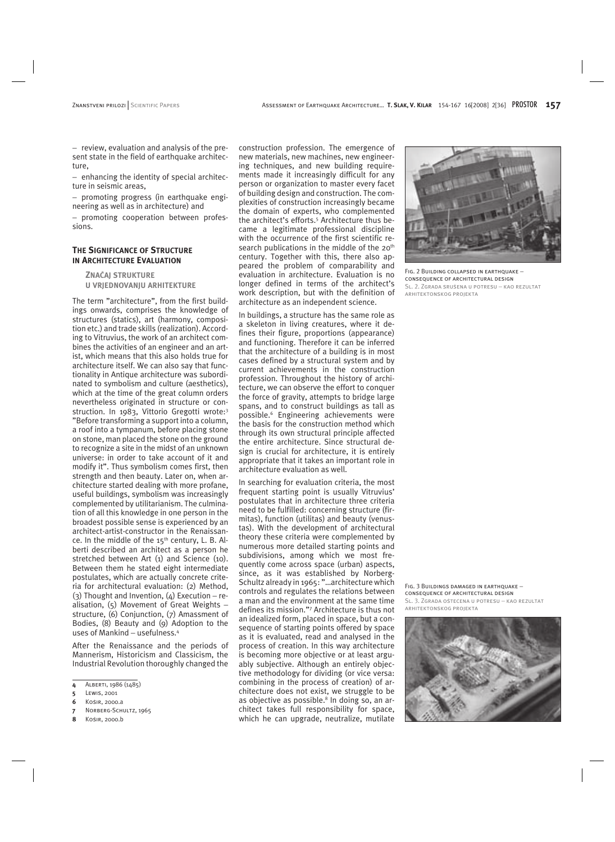− review, evaluation and analysis of the present state in the field of earthquake architecture,

− enhancing the identity of special architecture in seismic areas,

− promoting progress (in earthquake engineering as well as in architecture) and

− promoting cooperation between professions.

## **THE SIGNIFICANCE OF STRUCTURE IN ARCHITECTURE EVALUATION**

**ZNAÈAJ STRUKTURE U VRJEDNOVANJU ARHITEKTURE**

The term "architecture", from the first buildings onwards, comprises the knowledge of structures (statics), art (harmony, composition etc.) and trade skills (realization). According to Vitruvius, the work of an architect combines the activities of an engineer and an artist, which means that this also holds true for architecture itself. We can also say that functionality in Antique architecture was subordinated to symbolism and culture (aesthetics), which at the time of the great column orders nevertheless originated in structure or construction. In 1983, Vittorio Gregotti wrote:3 "Before transforming a support into a column, a roof into a tympanum, before placing stone on stone, man placed the stone on the ground to recognize a site in the midst of an unknown universe: in order to take account of it and modify it". Thus symbolism comes first, then strength and then beauty. Later on, when architecture started dealing with more profane, useful buildings, symbolism was increasingly complemented by utilitarianism. The culmination of all this knowledge in one person in the broadest possible sense is experienced by an architect-artist-constructor in the Renaissance. In the middle of the  $15<sup>th</sup>$  century, L. B. Alberti described an architect as a person he stretched between Art (1) and Science (10). Between them he stated eight intermediate postulates, which are actually concrete criteria for architectural evaluation: (2) Method, (3) Thought and Invention,  $(4)$  Execution – realisation, (5) Movement of Great Weights − structure, (6) Conjunction, (7) Amassment of Bodies, (8) Beauty and (9) Adoption to the uses of Mankind − usefulness.4

After the Renaissance and the periods of Mannerism, Historicism and Classicism, the Industrial Revolution thoroughly changed the

- **5** Lewis, 2001
- **6** Košir, 2000.a
- **7** Norberg-Schultz, 1965
- **8** Košir, 2000.b

construction profession. The emergence of new materials, new machines, new engineering techniques, and new building requirements made it increasingly difficult for any person or organization to master every facet of building design and construction. The complexities of construction increasingly became the domain of experts, who complemented the architect's efforts.5 Architecture thus became a legitimate professional discipline with the occurrence of the first scientific research publications in the middle of the 20<sup>th</sup> century. Together with this, there also appeared the problem of comparability and evaluation in architecture. Evaluation is no longer defined in terms of the architect's work description, but with the definition of architecture as an independent science.

In buildings, a structure has the same role as a skeleton in living creatures, where it defines their figure, proportions (appearance) and functioning. Therefore it can be inferred that the architecture of a building is in most cases defined by a structural system and by current achievements in the construction profession. Throughout the history of architecture, we can observe the effort to conquer the force of gravity, attempts to bridge large spans, and to construct buildings as tall as possible.6 Engineering achievements were the basis for the construction method which through its own structural principle affected the entire architecture. Since structural design is crucial for architecture, it is entirely appropriate that it takes an important role in architecture evaluation as well.

In searching for evaluation criteria, the most frequent starting point is usually Vitruvius' postulates that in architecture three criteria need to be fulfilled: concerning structure (firmitas), function (utilitas) and beauty (venustas). With the development of architectural theory these criteria were complemented by numerous more detailed starting points and subdivisions, among which we most frequently come across space (urban) aspects, since, as it was established by Norberg-Schultz already in 1965: "…architecture which controls and regulates the relations between a man and the environment at the same time defines its mission."7 Architecture is thus not an idealized form, placed in space, but a consequence of starting points offered by space as it is evaluated, read and analysed in the process of creation. In this way architecture is becoming more objective or at least arguably subjective. Although an entirely objective methodology for dividing (or vice versa: combining in the process of creation) of architecture does not exist, we struggle to be as objective as possible.<sup>8</sup> In doing so, an architect takes full responsibility for space, which he can upgrade, neutralize, mutilate



Fig. 2 Building collapsed in earthquake − consequence of architectural design Sl. 2. Zgrada srušena u potresu − kao rezultat arhitektonskog projekta

Fig. 3 Buildings damaged in earthquake − consequence of architectural design SL, 3. ZGRADA OŠTEĆENA U POTRESU – KAO REZULTAT arhitektonskog projekta



**<sup>4</sup>** Alberti, 1986 (1485)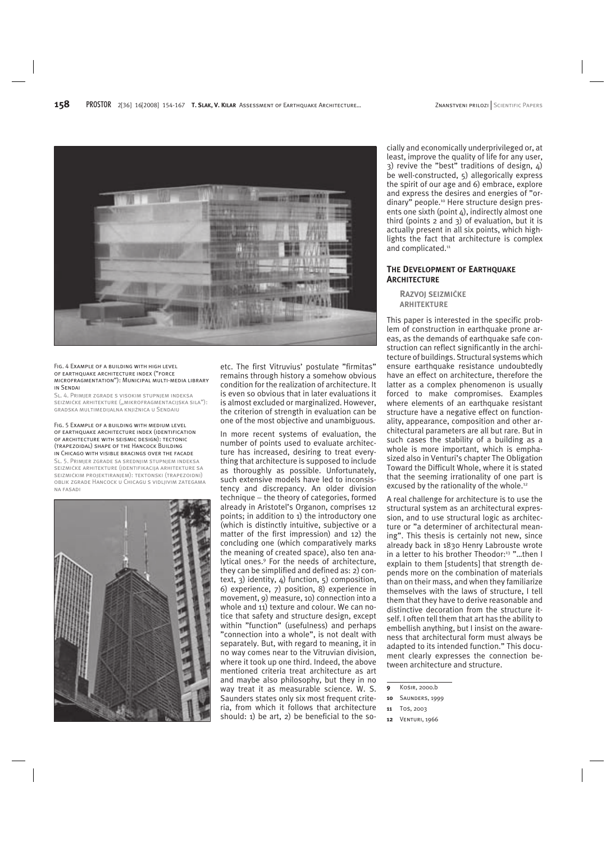

#### Fig. 4 Example of a building with high level of earthquake architecture index ("force microfragmentation"): Municipal multi-media library in Sendai

SL, 4. PRIMJER ZGRADE S VISOKIM STUPNJEM INDEKSA seizmièke arhitekture ("mikrofragmentacijska sila"): gradska multimedijalna knjižnica u Sendaiu

#### Fig. 5 Example of a building with medium level of earthquake architecture index (identification of architecture with seismic design): tectonic (trapezoidal) shape of the Hancock Building in Chicago with visible bracings over the facade

Sl. 5. Primjer zgrade sa srednjim stupnjem indeksa seizmièke arhitekture (identifikacija arhitekture sa seizmièkim projektiranjem): tektonski (trapezoidni) oblik zgrade Hancock u Chicagu s vidljivim zategama na fasadi



etc. The first Vitruvius' postulate "firmitas" remains through history a somehow obvious condition for the realization of architecture. It is even so obvious that in later evaluations it is almost excluded or marginalized. However, the criterion of strength in evaluation can be one of the most objective and unambiguous.

In more recent systems of evaluation, the number of points used to evaluate architecture has increased, desiring to treat everything that architecture is supposed to include as thoroughly as possible. Unfortunately, such extensive models have led to inconsistency and discrepancy. An older division technique − the theory of categories, formed already in Aristotel's Organon, comprises 12 points; in addition to 1) the introductory one (which is distinctly intuitive, subjective or a matter of the first impression) and 12) the concluding one (which comparatively marks the meaning of created space), also ten analytical ones.9 For the needs of architecture, they can be simplified and defined as: 2) context, 3) identity, 4) function, 5) composition, 6) experience, 7) position, 8) experience in movement, 9) measure, 10) connection into a whole and 11) texture and colour. We can notice that safety and structure design, except within "function" (usefulness) and perhaps "connection into a whole", is not dealt with separately. But, with regard to meaning, it in no way comes near to the Vitruvian division, where it took up one third. Indeed, the above mentioned criteria treat architecture as art and maybe also philosophy, but they in no way treat it as measurable science. W. S. Saunders states only six most frequent criteria, from which it follows that architecture should: 1) be art, 2) be beneficial to the socially and economically underprivileged or, at least, improve the quality of life for any user, 3) revive the "best" traditions of design, 4) be well-constructed, 5) allegorically express the spirit of our age and 6) embrace, explore and express the desires and energies of "ordinary" people.10 Here structure design presents one sixth (point  $4$ ), indirectly almost one third (points 2 and 3) of evaluation, but it is actually present in all six points, which highlights the fact that architecture is complex and complicated.<sup>11</sup>

## **THE DEVELOPMENT OF EARTHQUAKE ARCHITECTURE**

**RAZVOJ SEIZMIÈKE ARHITEKTURE**

This paper is interested in the specific problem of construction in earthquake prone areas, as the demands of earthquake safe construction can reflect significantly in the architecture of buildings. Structural systems which ensure earthquake resistance undoubtedly have an effect on architecture, therefore the latter as a complex phenomenon is usually forced to make compromises. Examples where elements of an earthquake resistant structure have a negative effect on functionality, appearance, composition and other architectural parameters are all but rare. But in such cases the stability of a building as a whole is more important, which is emphasized also in Venturi's chapter The Obligation Toward the Difficult Whole, where it is stated that the seeming irrationality of one part is excused by the rationality of the whole.12

A real challenge for architecture is to use the structural system as an architectural expression, and to use structural logic as architecture or "a determiner of architectural meaning". This thesis is certainly not new, since already back in 1830 Henry Labrouste wrote in a letter to his brother Theodor:<sup>13</sup> "...then I explain to them [students] that strength depends more on the combination of materials than on their mass, and when they familiarize themselves with the laws of structure, I tell them that they have to derive reasonable and distinctive decoration from the structure itself. I often tell them that art has the ability to embellish anything, but I insist on the awareness that architectural form must always be adapted to its intended function." This document clearly expresses the connection between architecture and structure.

**<sup>9</sup>** Košir, 2000.b

**<sup>10</sup>** Saunders, 1999

**<sup>11</sup>** Toš, 2003

**<sup>12</sup>** Venturi, 1966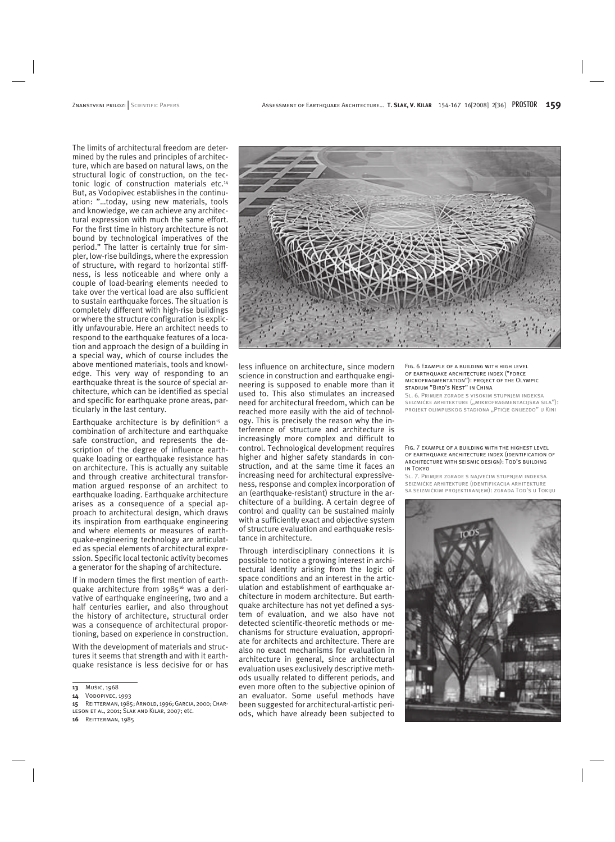The limits of architectural freedom are determined by the rules and principles of architecture, which are based on natural laws, on the structural logic of construction, on the tectonic logic of construction materials etc.14 But, as Vodopivec establishes in the continuation: "…today, using new materials, tools and knowledge, we can achieve any architectural expression with much the same effort. For the first time in history architecture is not bound by technological imperatives of the period." The latter is certainly true for simpler, low-rise buildings, where the expression of structure, with regard to horizontal stiffness, is less noticeable and where only a couple of load-bearing elements needed to take over the vertical load are also sufficient to sustain earthquake forces. The situation is completely different with high-rise buildings or where the structure configuration is explicitly unfavourable. Here an architect needs to respond to the earthquake features of a location and approach the design of a building in a special way, which of course includes the above mentioned materials, tools and knowledge. This very way of responding to an earthquake threat is the source of special architecture, which can be identified as special and specific for earthquake prone areas, particularly in the last century.

Earthquake architecture is by definition<sup>15</sup> a combination of architecture and earthquake safe construction, and represents the description of the degree of influence earthquake loading or earthquake resistance has on architecture. This is actually any suitable and through creative architectural transformation argued response of an architect to earthquake loading. Earthquake architecture arises as a consequence of a special approach to architectural design, which draws its inspiration from earthquake engineering and where elements or measures of earthquake-engineering technology are articulated as special elements of architectural expression. Specific local tectonic activity becomes a generator for the shaping of architecture.

If in modern times the first mention of earthquake architecture from 1985<sup>16</sup> was a derivative of earthquake engineering, two and a half centuries earlier, and also throughout the history of architecture, structural order was a consequence of architectural proportioning, based on experience in construction.

With the development of materials and structures it seems that strength and with it earthquake resistance is less decisive for or has

- **15** Reitterman, 1985; Arnold, 1996; Garcia, 2000; Charleson et al, 2001; Slak and Kilar, 2007; etc.
- **16** Reitterman, 1985



less influence on architecture, since modern science in construction and earthquake engineering is supposed to enable more than it used to. This also stimulates an increased need for architectural freedom, which can be reached more easily with the aid of technology. This is precisely the reason why the interference of structure and architecture is increasingly more complex and difficult to control. Technological development requires higher and higher safety standards in construction, and at the same time it faces an increasing need for architectural expressiveness, response and complex incorporation of an (earthquake-resistant) structure in the architecture of a building. A certain degree of control and quality can be sustained mainly with a sufficiently exact and objective system of structure evaluation and earthquake resistance in architecture.

Through interdisciplinary connections it is possible to notice a growing interest in architectural identity arising from the logic of space conditions and an interest in the articulation and establishment of earthquake architecture in modern architecture. But earthquake architecture has not yet defined a system of evaluation, and we also have not detected scientific-theoretic methods or mechanisms for structure evaluation, appropriate for architects and architecture. There are also no exact mechanisms for evaluation in architecture in general, since architectural evaluation uses exclusively descriptive methods usually related to different periods, and even more often to the subjective opinion of an evaluator. Some useful methods have been suggested for architectural-artistic periods, which have already been subjected to Fig. 6 Example of a building with high level of earthquake architecture index ("force microfragmentation"): project of the Olympic stadium "Bird's Nest" in China

Sl. 6. Primjer zgrade s visokim stupnjem indeksa seizmièke arhitekture ("mikrofragmentacijska sila"): projekt olimpijskog stadiona "Ptičje gnijezdo" u Kini

#### Fig. 7 example of a building with the highest level OF EARTHOUAKE ARCHITECTURE INDEX (IDENTIFICATION OF architecture with seismic design): Tod's building in Tokyo

SL, 7. PRIMJER ZGRADE S NAJVEĆIM STUPNJEM INDEKSA seizmièke arhitekture (identifikacija arhitekture sa seizmièkim projektiranjem): zgrada Tod's u Tokiju



**<sup>13</sup>** Mušiè, 1968

**<sup>14</sup>** Vodopivec, 1993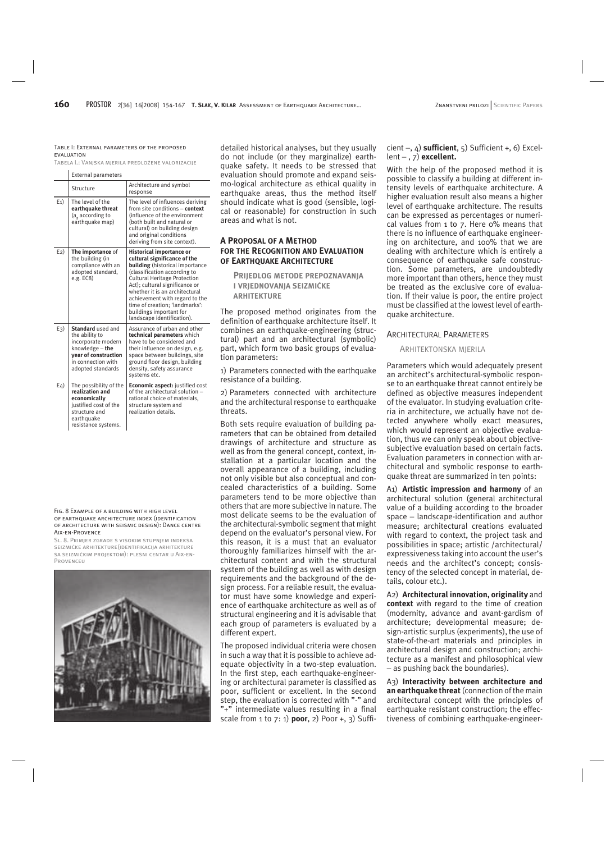#### Table I: External parameters of the proposed **EVALUATION**

Tabela I.: Vanjska mjerila predložene valorizacije

|         | <b>External parameters</b>                                                                                                                      |                                                                                                                                                                                                                                                                                                                                                                            |
|---------|-------------------------------------------------------------------------------------------------------------------------------------------------|----------------------------------------------------------------------------------------------------------------------------------------------------------------------------------------------------------------------------------------------------------------------------------------------------------------------------------------------------------------------------|
|         | Structure                                                                                                                                       | Architecture and symbol<br>response                                                                                                                                                                                                                                                                                                                                        |
| $E_1$ ) | The level of the<br>earthquake threat<br>(a according to<br>earthquake map)                                                                     | The level of influences deriving<br>from site conditions - context<br>(influence of the environment<br>(both built and natural or<br>cultural) on building design<br>and original conditions<br>deriving from site context).                                                                                                                                               |
| $E2$ )  | The importance of<br>the building (in<br>compliance with an<br>adopted standard,<br>e.g. EC8)                                                   | Historical importance or<br>cultural significance of the<br><b>building</b> (historical importance<br>(classification according to<br><b>Cultural Heritage Protection</b><br>Act); cultural significance or<br>whether it is an architectural<br>achievement with regard to the<br>time of creation; 'landmarks':<br>buildings important for<br>landscape identification). |
| $E_3$ ) | Standard used and<br>the ability to<br>incorporate modern<br>knowledge - the<br>year of construction<br>in connection with<br>adopted standards | Assurance of urban and other<br>technical parameters which<br>have to be considered and<br>their influence on design, e.g.<br>space between buildings, site<br>ground floor design, building<br>density, safety assurance<br>systems etc.                                                                                                                                  |
| $E_4$   | The possibility of the<br>realization and<br>economically<br>justified cost of the<br>structure and<br>earthquake<br>resistance systems.        | Economic aspect: justified cost<br>of the architectural solution -<br>rational choice of materials,<br>structure system and<br>realization details.                                                                                                                                                                                                                        |

Fig. 8 Example of a building with high level OF EARTHOUAKE ARCHITECTURE INDEX (IDENTIFICATION of architecture with seismic design): Dance centre Aix-en-Provence

Sl. 8. Primjer zgrade s visokim stupnjem indeksa seizmièke arhitekture(identifikacija arhitekture sa seizmièkim projektom): plesni centar u Aix-en-**PROVENCEU** 



detailed historical analyses, but they usually do not include (or they marginalize) earthquake safety. It needs to be stressed that evaluation should promote and expand seismo-logical architecture as ethical quality in earthquake areas, thus the method itself should indicate what is good (sensible, logical or reasonable) for construction in such areas and what is not.

## **A PROPOSAL OF A METHOD FOR THE RECOGNITION AND EVALUATION OF EARTHQUAKE ARCHITECTURE**

**PRIJEDLOG METODE PREPOZNAVANJA I VRJEDNOVANJA SEIZMIÈKE ARHITEKTURE**

The proposed method originates from the definition of earthquake architecture itself. It combines an earthquake-engineering (structural) part and an architectural (symbolic) part, which form two basic groups of evaluation parameters:

1) Parameters connected with the earthquake resistance of a building.

2) Parameters connected with architecture and the architectural response to earthquake threats.

Both sets require evaluation of building parameters that can be obtained from detailed drawings of architecture and structure as well as from the general concept, context, installation at a particular location and the overall appearance of a building, including not only visible but also conceptual and concealed characteristics of a building. Some parameters tend to be more objective than others that are more subjective in nature. The most delicate seems to be the evaluation of the architectural-symbolic segment that might depend on the evaluator's personal view. For this reason, it is a must that an evaluator thoroughly familiarizes himself with the architectural content and with the structural system of the building as well as with design requirements and the background of the design process. For a reliable result, the evaluator must have some knowledge and experience of earthquake architecture as well as of structural engineering and it is advisable that each group of parameters is evaluated by a different expert.

The proposed individual criteria were chosen in such a way that it is possible to achieve adequate objectivity in a two-step evaluation. In the first step, each earthquake-engineering or architectural parameter is classified as poor, sufficient or excellent. In the second step, the evaluation is corrected with "-" and "+" intermediate values resulting in a final scale from 1 to 7: 1) **poor**, 2) Poor +, 3) Suffi-

## cient −, 4) **sufficient**, 5) Sufficient +, 6) Excellent − , 7) **excellent.**

With the help of the proposed method it is possible to classify a building at different intensity levels of earthquake architecture. A higher evaluation result also means a higher level of earthquake architecture. The results can be expressed as percentages or numerical values from 1 to 7. Here 0% means that there is no influence of earthquake engineering on architecture, and 100% that we are dealing with architecture which is entirely a consequence of earthquake safe construction. Some parameters, are undoubtedly more important than others, hence they must be treated as the exclusive core of evaluation. If their value is poor, the entire project must be classified at the lowest level of earthquake architecture.

#### ARCHITECTURAL PARAMETERS

#### ARHITEKTONSKA MJERILA

Parameters which would adequately present an architect's architectural-symbolic response to an earthquake threat cannot entirely be defined as objective measures independent of the evaluator. In studying evaluation criteria in architecture, we actually have not detected anywhere wholly exact measures, which would represent an objective evaluation, thus we can only speak about objectivesubjective evaluation based on certain facts. Evaluation parameters in connection with architectural and symbolic response to earthquake threat are summarized in ten points:

A1) **Artistic impression and harmony** of an architectural solution (general architectural value of a building according to the broader space − landscape-identification and author measure; architectural creations evaluated with regard to context, the project task and possibilities in space; artistic /architectural/ expressiveness taking into account the user's needs and the architect's concept; consistency of the selected concept in material, details, colour etc.).

A2) **Architectural innovation, originality** and **context** with regard to the time of creation (modernity, advance and avant-gardism of architecture; developmental measure; design-artistic surplus (experiments), the use of state-of-the-art materials and principles in architectural design and construction; architecture as a manifest and philosophical view − as pushing back the boundaries).

A3) **Interactivity between architecture and an earthquake threat** (connection of the main architectural concept with the principles of earthquake resistant construction; the effectiveness of combining earthquake-engineer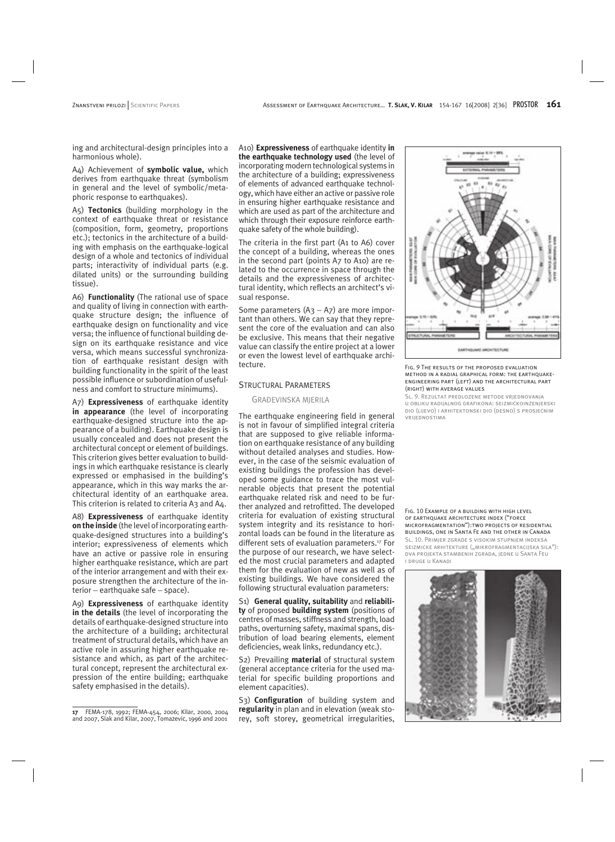ing and architectural-design principles into a harmonious whole).

A4) Achievement of **symbolic value,** which derives from earthquake threat (symbolism in general and the level of symbolic/metaphoric response to earthquakes).

A5) **Tectonics** (building morphology in the context of earthquake threat or resistance (composition, form, geometry, proportions etc.); tectonics in the architecture of a building with emphasis on the earthquake-logical design of a whole and tectonics of individual parts; interactivity of individual parts (e.g. dilated units) or the surrounding building tissue).

A6) **Functionality** (The rational use of space and quality of living in connection with earthquake structure design; the influence of earthquake design on functionality and vice versa; the influence of functional building design on its earthquake resistance and vice versa, which means successful synchronization of earthquake resistant design with building functionality in the spirit of the least possible influence or subordination of usefulness and comfort to structure minimums).

A7) **Expressiveness** of earthquake identity **in appearance** (the level of incorporating earthquake-designed structure into the appearance of a building). Earthquake design is usually concealed and does not present the architectural concept or element of buildings. This criterion gives better evaluation to buildings in which earthquake resistance is clearly expressed or emphasised in the building's appearance, which in this way marks the architectural identity of an earthquake area. This criterion is related to criteria A3 and A4.

A8) **Expressiveness** of earthquake identity **on the inside** (the level of incorporating earthquake-designed structures into a building's interior; expressiveness of elements which have an active or passive role in ensuring higher earthquake resistance, which are part of the interior arrangement and with their exposure strengthen the architecture of the interior − earthquake safe − space).

A9) **Expressiveness** of earthquake identity **in the details** (the level of incorporating the details of earthquake-designed structure into the architecture of a building; architectural treatment of structural details, which have an active role in assuring higher earthquake resistance and which, as part of the architectural concept, represent the architectural expression of the entire building; earthquake safety emphasised in the details).

A10) **Expressiveness** of earthquake identity **in the earthquake technology used** (the level of incorporating modern technological systems in the architecture of a building; expressiveness of elements of advanced earthquake technology, which have either an active or passive role in ensuring higher earthquake resistance and which are used as part of the architecture and which through their exposure reinforce earthquake safety of the whole building).

The criteria in the first part (A1 to A6) cover the concept of a building, whereas the ones in the second part (points A7 to A10) are related to the occurrence in space through the details and the expressiveness of architectural identity, which reflects an architect's visual response.

Some parameters (A3 − A7) are more important than others. We can say that they represent the core of the evaluation and can also be exclusive. This means that their negative value can classify the entire project at a lower or even the lowest level of earthquake architecture.

## STRUCTURAL PARAMETERS

#### GRAÐEVINSKA MJERILA

The earthquake engineering field in general is not in favour of simplified integral criteria that are supposed to give reliable information on earthquake resistance of any building without detailed analyses and studies. However, in the case of the seismic evaluation of existing buildings the profession has developed some guidance to trace the most vulnerable objects that present the potential earthquake related risk and need to be further analyzed and retrofitted. The developed criteria for evaluation of existing structural system integrity and its resistance to horizontal loads can be found in the literature as different sets of evaluation parameters.17 For the purpose of our research, we have selected the most crucial parameters and adapted them for the evaluation of new as well as of existing buildings. We have considered the following structural evaluation parameters:

S1) **General quality, suitability** and **reliability** of proposed **building system** (positions of centres of masses, stiffness and strength, load paths, overturning safety, maximal spans, distribution of load bearing elements, element deficiencies, weak links, redundancy etc.).

S2) Prevailing **material** of structural system (general acceptance criteria for the used material for specific building proportions and element capacities).

S3) **Configuration** of building system and **regularity** in plan and in elevation (weak storey, soft storey, geometrical irregularities,



#### FIG. 9 THE RESULTS OF THE PROPOSED EVALUATION method in a radial graphical form: the earthquakeengineering part (left) and the architectural part (right) with average values

Sl. 9. Rezultat predložene metode vrjednovanja u obliku radijalnog grafikona: seizmièkoinženjerski dio (lijevo) i arhitektonski dio (desno) s prosjeènim vrijednostima

Fig. 10 Example of a building with high level OF EARTHOUAKE ARCHITECTURE INDEX ("FORCE microfragmentation"):two projects of residential buildings, one in Santa Fe and the other in Canada SL, 10. PRIMJER ZGRADE S VISOKIM STUPNJEM INDEKSA SEIZMIČKE ARHITEKTURE ("MIKROFRAGMENTACIJSKA SILA"): dva projekta stambenih zgrada, jedne u Santa Feu i druge u Kanadi



**<sup>17</sup>** FEMA-178, 1992; FEMA-454, 2006; Kilar, 2000, 2004 and 2007, Slak and Kilar, 2007, Tomaževič, 1996 and 2001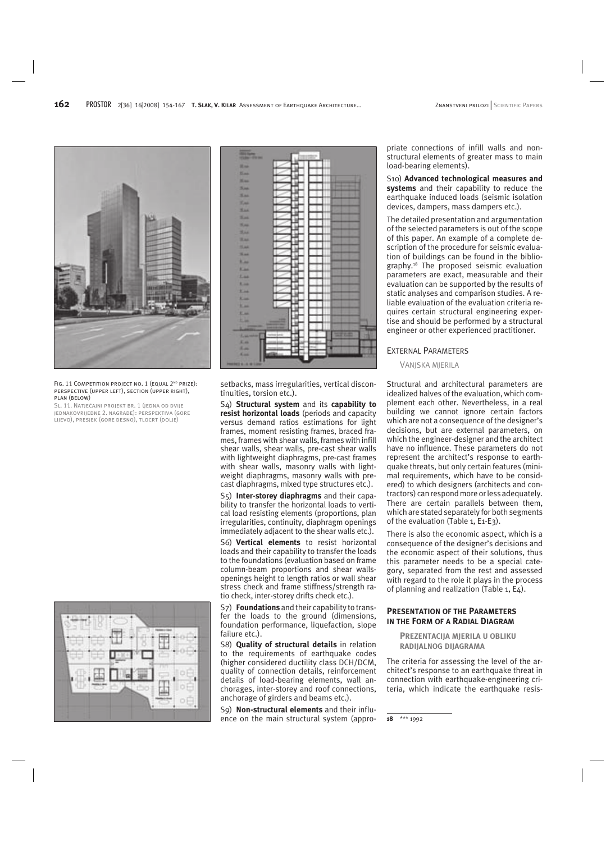

FIG. 11 COMPETITION PROJECT NO. 1 (EQUAL 2<sup>ND</sup> PRIZE): perspective (upper left), section (upper right), plan (below)

Sl. 11. Natjeèajni projekt br. 1 (jedna od dvije jednakovrijedne 2. nagrade): perspektiva (gore lijevo), presjek (gore desno), tlocrt (dolje)





setbacks, mass irregularities, vertical discontinuities, torsion etc.).

S4) **Structural system** and its **capability to resist horizontal loads** (periods and capacity versus demand ratios estimations for light frames, moment resisting frames, braced frames, frames with shear walls, frames with infill shear walls, shear walls, pre-cast shear walls with lightweight diaphragms, pre-cast frames with shear walls, masonry walls with lightweight diaphragms, masonry walls with precast diaphragms, mixed type structures etc.).

S5) **Inter-storey diaphragms** and their capability to transfer the horizontal loads to vertical load resisting elements (proportions, plan irregularities, continuity, diaphragm openings immediately adjacent to the shear walls etc.).

S6) **Vertical elements** to resist horizontal loads and their capability to transfer the loads to the foundations (evaluation based on frame column-beam proportions and shear wallsopenings height to length ratios or wall shear stress check and frame stiffness/strength ratio check, inter-storey drifts check etc.).

S7) **Foundations** and their capability to transfer the loads to the ground (dimensions, foundation performance, liquefaction, slope failure etc.).

S8) **Quality of structural details** in relation to the requirements of earthquake codes (higher considered ductility class DCH/DCM, quality of connection details, reinforcement details of load-bearing elements, wall anchorages, inter-storey and roof connections, anchorage of girders and beams etc.).

S9) **Non-structural elements** and their influence on the main structural system (appropriate connections of infill walls and nonstructural elements of greater mass to main load-bearing elements).

S10) **Advanced technological measures and systems** and their capability to reduce the earthquake induced loads (seismic isolation devices, dampers, mass dampers etc.).

The detailed presentation and argumentation of the selected parameters is out of the scope of this paper. An example of a complete description of the procedure for seismic evaluation of buildings can be found in the bibliography.18 The proposed seismic evaluation parameters are exact, measurable and their evaluation can be supported by the results of static analyses and comparison studies. A reliable evaluation of the evaluation criteria requires certain structural engineering expertise and should be performed by a structural engineer or other experienced practitioner.

#### EXTERNAL PARAMETERS

#### VANJSKA MJERILA

Structural and architectural parameters are idealized halves of the evaluation, which complement each other. Nevertheless, in a real building we cannot ignore certain factors which are not a consequence of the designer's decisions, but are external parameters, on which the engineer-designer and the architect have no influence. These parameters do not represent the architect's response to earthquake threats, but only certain features (minimal requirements, which have to be considered) to which designers (architects and contractors) can respond more or less adequately. There are certain parallels between them, which are stated separately for both segments of the evaluation (Table 1, E1-E3).

There is also the economic aspect, which is a consequence of the designer's decisions and the economic aspect of their solutions, thus this parameter needs to be a special category, separated from the rest and assessed with regard to the role it plays in the process of planning and realization (Table 1, E4).

## **PRESENTATION OF THE PARAMETERS IN THE FORM OF A RADIAL DIAGRAM**

**PREZENTACIJA MJERILA U OBLIKU RADIJALNOG DIJAGRAMA**

The criteria for assessing the level of the architect's response to an earthquake threat in connection with earthquake-engineering criteria, which indicate the earthquake resis-

**18** \*\*\* 1992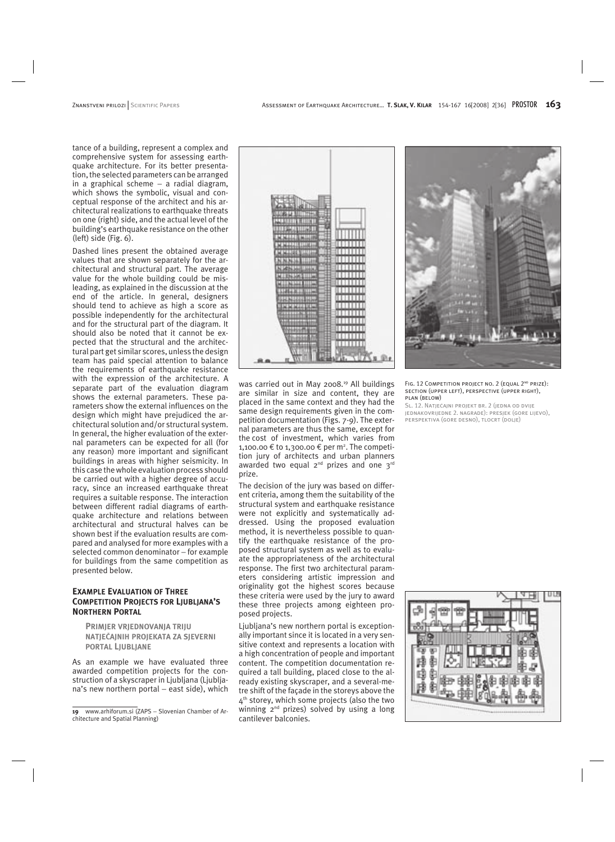tance of a building, represent a complex and comprehensive system for assessing earthquake architecture. For its better presentation, the selected parameters can be arranged in a graphical scheme − a radial diagram, which shows the symbolic, visual and conceptual response of the architect and his architectural realizations to earthquake threats on one (right) side, and the actual level of the building's earthquake resistance on the other (left) side (Fig. 6).

Dashed lines present the obtained average values that are shown separately for the architectural and structural part. The average value for the whole building could be misleading, as explained in the discussion at the end of the article. In general, designers should tend to achieve as high a score as possible independently for the architectural and for the structural part of the diagram. It should also be noted that it cannot be expected that the structural and the architectural part get similar scores, unless the design team has paid special attention to balance the requirements of earthquake resistance with the expression of the architecture. A separate part of the evaluation diagram shows the external parameters. These parameters show the external influences on the design which might have prejudiced the architectural solution and/or structural system. In general, the higher evaluation of the external parameters can be expected for all (for any reason) more important and significant buildings in areas with higher seismicity. In this case the whole evaluation process should be carried out with a higher degree of accuracy, since an increased earthquake threat requires a suitable response. The interaction between different radial diagrams of earthquake architecture and relations between architectural and structural halves can be shown best if the evaluation results are compared and analysed for more examples with a selected common denominator – for example for buildings from the same competition as presented below.

## **EXAMPLE EVALUATION OF THREE COMPETITION PROJECTS FOR LJUBLJANA'S NORTHERN PORTAL**

**PRIMJER VRJEDNOVANJA TRIJU NATJEÈAJNIH PROJEKATA ZA SJEVERNI PORTAL LJUBLJANE**

As an example we have evaluated three awarded competition projects for the construction of a skyscraper in Ljubljana (Ljubljana's new northern portal – east side), which



was carried out in May 2008.<sup>19</sup> All buildings are similar in size and content, they are placed in the same context and they had the same design requirements given in the competition documentation (Figs. 7-9). The external parameters are thus the same, except for the cost of investment, which varies from 1,100.00 € to 1,300.00 € per m<sup>2</sup>. The competition jury of architects and urban planners awarded two equal 2<sup>nd</sup> prizes and one 3<sup>rd</sup> prize.

The decision of the jury was based on different criteria, among them the suitability of the structural system and earthquake resistance were not explicitly and systematically addressed. Using the proposed evaluation method, it is nevertheless possible to quantify the earthquake resistance of the proposed structural system as well as to evaluate the appropriateness of the architectural response. The first two architectural parameters considering artistic impression and originality got the highest scores because these criteria were used by the jury to award these three projects among eighteen proposed projects.

Ljubljana's new northern portal is exceptionally important since it is located in a very sensitive context and represents a location with a high concentration of people and important content. The competition documentation required a tall building, placed close to the already existing skyscraper, and a several-metre shift of the façade in the storeys above the  $4<sup>th</sup>$  storey, which some projects (also the two winning 2<sup>nd</sup> prizes) solved by using a long cantilever balconies.



FIG. 12 COMPETITION PROJECT NO. 2 (EQUAL 2<sup>ND</sup> PRIZE): section (upper left), perspective (upper right), plan (below)

Sl. 12. Natjeèajni projekt br. 2 (jedna od dvije jednakovrijedne 2. nagrade): presjek (gore lijevo), perspektiva (gore desno), tlocrt (dolje)



**<sup>19</sup>** www.arhiforum.si (ZAPS − Slovenian Chamber of Architecture and Spatial Planning)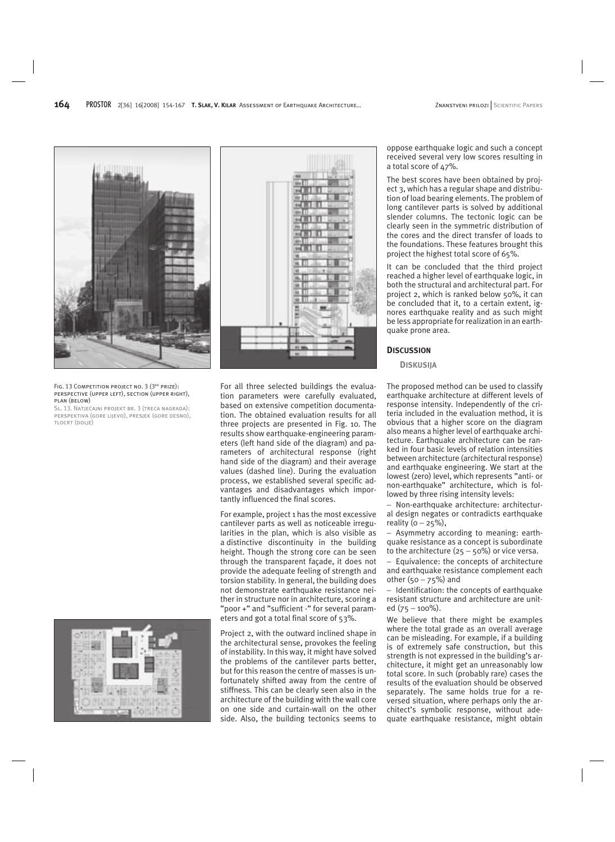

#### FIG. 13 COMPETITION PROJECT NO. 3 (3<sup>RD</sup> PRIZE): perspective (upper left), section (upper right), plan (below)

SL. 13. Natječajni projekt br. 3 (treća nagrada): perspektiva (gore lijevo), presjek (gore desno), tlocrt (dolje)





For all three selected buildings the evaluation parameters were carefully evaluated, based on extensive competition documentation. The obtained evaluation results for all three projects are presented in Fig. 10. The results show earthquake-engineering parameters (left hand side of the diagram) and parameters of architectural response (right hand side of the diagram) and their average values (dashed line). During the evaluation process, we established several specific advantages and disadvantages which importantly influenced the final scores.

For example, project 1 has the most excessive cantilever parts as well as noticeable irregularities in the plan, which is also visible as a distinctive discontinuity in the building height. Though the strong core can be seen through the transparent façade, it does not provide the adequate feeling of strength and torsion stability. In general, the building does not demonstrate earthquake resistance neither in structure nor in architecture, scoring a "poor +" and "sufficient -" for several parameters and got a total final score of 53%.

Project 2, with the outward inclined shape in the architectural sense, provokes the feeling of instability. In this way, it might have solved the problems of the cantilever parts better, but for this reason the centre of masses is unfortunately shifted away from the centre of stiffness. This can be clearly seen also in the architecture of the building with the wall core on one side and curtain-wall on the other side. Also, the building tectonics seems to

oppose earthquake logic and such a concept received several very low scores resulting in a total score of 47%.

The best scores have been obtained by project 3, which has a regular shape and distribution of load bearing elements. The problem of long cantilever parts is solved by additional slender columns. The tectonic logic can be clearly seen in the symmetric distribution of the cores and the direct transfer of loads to the foundations. These features brought this project the highest total score of 65%.

It can be concluded that the third project reached a higher level of earthquake logic, in both the structural and architectural part. For project 2, which is ranked below 50%, it can be concluded that it, to a certain extent, ignores earthquake reality and as such might be less appropriate for realization in an earthquake prone area.

## **DISCUSSION**

#### **DISKUSIJA**

The proposed method can be used to classify earthquake architecture at different levels of response intensity. Independently of the criteria included in the evaluation method, it is obvious that a higher score on the diagram also means a higher level of earthquake architecture. Earthquake architecture can be ranked in four basic levels of relation intensities between architecture (architectural response) and earthquake engineering. We start at the lowest (zero) level, which represents "anti- or non-earthquake" architecture, which is followed by three rising intensity levels:

Non-earthquake architecture: architectur-− al design negates or contradicts earthquake reality  $(0 - 25\%)$ ,

Asymmetry according to meaning: earth-− quake resistance as a concept is subordinate to the architecture  $(25 - 50\%)$  or vice versa.

− Equivalence: the concepts of architecture and earthquake resistance complement each other (50 − 75%) and

− Identification: the concepts of earthquake resistant structure and architecture are united (75 − 100%).

We believe that there might be examples where the total grade as an overall average can be misleading. For example, if a building is of extremely safe construction, but this strength is not expressed in the building's architecture, it might get an unreasonably low total score. In such (probably rare) cases the results of the evaluation should be observed separately. The same holds true for a reversed situation, where perhaps only the architect's symbolic response, without adequate earthquake resistance, might obtain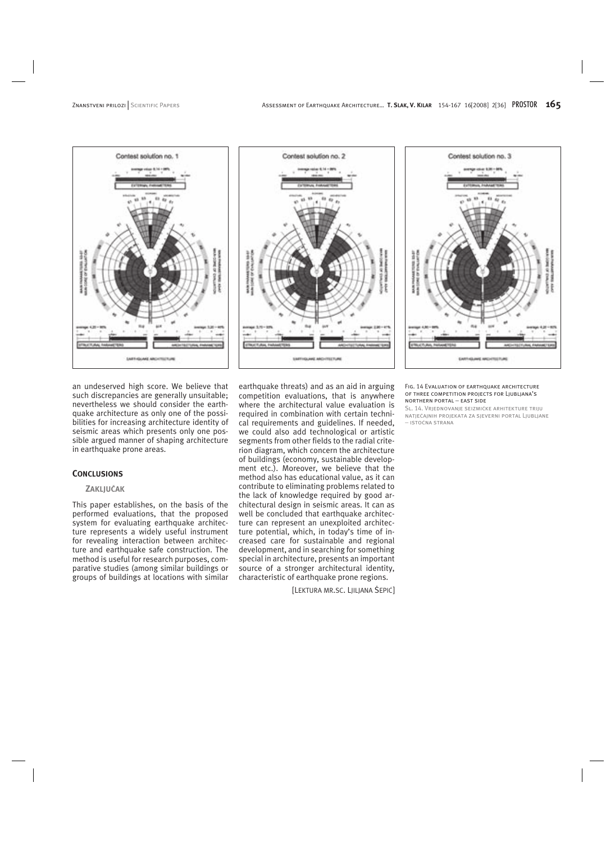





an undeserved high score. We believe that such discrepancies are generally unsuitable; nevertheless we should consider the earthquake architecture as only one of the possibilities for increasing architecture identity of seismic areas which presents only one possible argued manner of shaping architecture in earthquake prone areas.

## **CONCLUSIONS**

## **ZAKLJUÈAK**

This paper establishes, on the basis of the performed evaluations, that the proposed system for evaluating earthquake architecture represents a widely useful instrument for revealing interaction between architecture and earthquake safe construction. The method is useful for research purposes, comparative studies (among similar buildings or groups of buildings at locations with similar

earthquake threats) and as an aid in arguing competition evaluations, that is anywhere where the architectural value evaluation is required in combination with certain technical requirements and guidelines. If needed, we could also add technological or artistic segments from other fields to the radial criterion diagram, which concern the architecture of buildings (economy, sustainable development etc.). Moreover, we believe that the method also has educational value, as it can contribute to eliminating problems related to the lack of knowledge required by good architectural design in seismic areas. It can as well be concluded that earthquake architecture can represent an unexploited architecture potential, which, in today's time of increased care for sustainable and regional development, and in searching for something special in architecture, presents an important source of a stronger architectural identity, characteristic of earthquake prone regions.

[LEKTURA MR.SC. LJILJANA ŠEPIĆ]

Fig. 14 Evaluation of earthquake architecture of three competition projects for Ljubljana's northern portal − east side

Sl. 14. Vrjednovanje seizmièke arhitekture triju natjeèajnih projekata za sjeverni portal Ljubljane − istoèna strana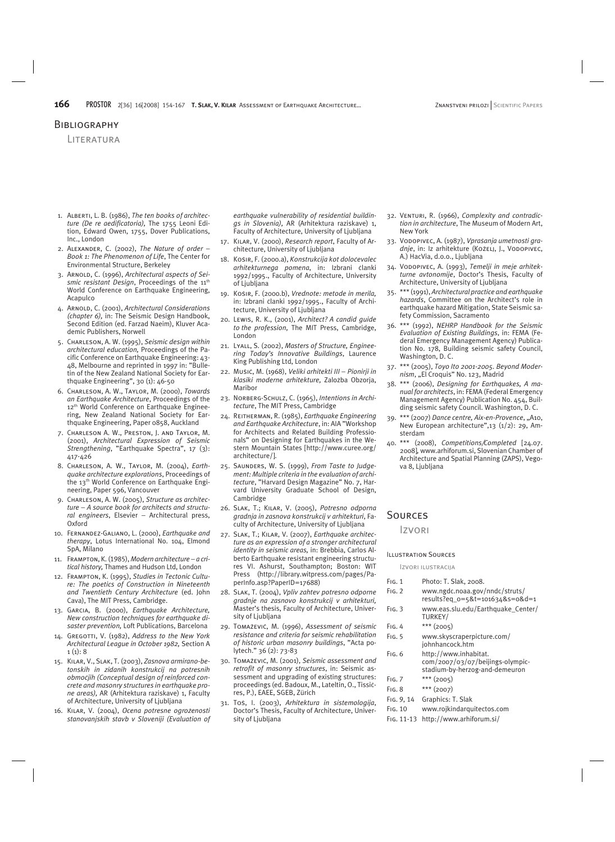## **BIBLIOGRAPHY**

**LITERATURA** 

- 1. Alberti, L. B. (1986), *The ten books of architecture (De re aedificatoria),* The 1755 Leoni Edition, Edward Owen, 1755, Dover Publications, Inc., London
- 2. Alexander, C. (2002), *The Nature of order* − *Book 1: The Phenomenon of Life*, The Center for Environmental Structure, Berkeley
- 3. Arnold, C. (1996), *Architectural aspects of Sei*smic resistant Design, Proceedings of the 11<sup>th</sup> World Conference on Earthquake Engineering, Acapulco
- 4. Arnold, C. (2001), *Architectural Considerations (chapter 6),* in: The Seismic Design Handbook, Second Edition (ed. Farzad Naeim), Kluver Academic Publishers, Norwell
- 5. Charleson, A. W. (1995), *Seismic design within architectural education,* Proceedings of the Pacific Conference on Earthquake Engineering: 43- 48, Melbourne and reprinted in 1997 in: "Bulletin of the New Zealand National Society for Earthquake Engineering", 30 (1): 46-50
- 6. Charleson, A. W., Taylor, M. (2000), *Towards an Earthquake Architecture*, Proceedings of the 12<sup>th</sup> World Conference on Earthquake Engineering, New Zealand National Society for Earthquake Engineering, Paper 0858, Auckland
- 7. Charleson A. W., Preston, J. and Taylor, M. (2001), *Architectural Expression of Seismic Strengthening*, "Earthquake Spectra", 17 (3): 417-426
- 8. Charleson, A. W., Taylor, M. (2004), *Earthquake architecture explorations*, Proceedings of the 13th World Conference on Earthquake Engineering, Paper 596, Vancouver
- 9. Charleson, A. W. (2005), *Structure as architecture* − *A source book for architects and structural engineers*, Elsevier − Architectural press, Oxford
- 10. Fernandez-Galiano, L. (2000), *Earthquake and therapy*, Lotus International No. 104, Elmond SpA, Milano
- 11. Frampton, K. (1985),*Modern architecture* − *a critical history,* Thames and Hudson Ltd, London
- 12. Frampton, K. (1995), *Studies in Tectonic Culture: The poetics of Construction in Nineteenth and Twentieth Century Architecture* (ed. John Cava), The MIT Press, Cambridge.
- 13. Garcia, B. (2000), *Earthquake Architecture, New construction techniques for earthquake disaster prevention,* Loft Publications, Barcelona
- 14. Gregotti, V. (1982), *Address to the New York Architectural League in October 1982,* Section A  $1(1): 8$
- 15. Kilar, V., Slak, T. (2003), *Zasnova armirano-betonskih in zidanih konstrukcij na potresnih obmoèjih (Conceptual design of reinforced concrete and masonry structures in earthquake prone areas),* AR (Arhitektura raziskave) 1, Faculty of Architecture, University of Ljubljana
- 16. Kilar, V. (2004), *Ocena potresne ogroženosti stanovanjskih stavb v Sloveniji (Evaluation of*

*earthquake vulnerability of residential buildings in Slovenia),* AR (Arhitektura raziskave) 1, Faculty of Architecture, University of Ljubljana

- 17. Kilar, V. (2000), *Research report*, Faculty of Architecture, University of Ljubljana
- 18. Košir, F. (2000.a), *Konstrukcija kot doloèevalec arhitekturnega pomena*, in: Izbrani èlanki 1992/1995., Faculty of Architecture, University of Ljubljana
- 19. Košir, F. (2000.b), *Vrednote: metode in merila,*  in: Izbrani èlanki 1992/1995., Faculty of Architecture, University of Ljubljana
- 20. Lewis, R. K., (2001), *Architect? A candid guide to the profession,* The MIT Press, Cambridge, London
- 21. Lyall, S. (2002), *Masters of Structure, Engineering Today's Innovative Buildings*, Laurence King Publishing Ltd, London
- 22. Mušiè, M. (1968), *Veliki arhitekti III* − *Pionirji in klasiki moderne arhitekture,* Založba Obzorja, Maribor
- 23. NORBERG-SCHULZ, C. (1965), Intentions in Archi*tecture*, The MIT Press, Cambridge
- 24. Reitherman, R. (1985), *Earthquake Engineering and Earthquake Architecture*, in: AIA "Workshop for Architects and Related Building Professionals" on Designing for Earthquakes in the Western Mountain States [http://www.curee.org/ architecture/].
- 25. Saunders, W. S. (1999), *From Taste to Judgement: Multiple criteria in the evaluation of architecture*, "Harvard Design Magazine" No. 7, Harvard University Graduate School of Design, Cambridge
- 26. Slak, T.; Kilar, V. (2005), *Potresno odporna gradnja in zasnova konstrukcij v arhitekturi*, Faculty of Architecture, University of Ljubljana
- 27. Slak, T.; Kilar, V. (2007), *Earthquake architecture as an expression of a stronger architectural identity in seismic areas,* in: Brebbia, Carlos Alberto Earthquake resistant engineering structures VI. Ashurst, Southampton; Boston: WIT Press (http://library.witpress.com/pages/PaperInfo.asp?PaperID=17688)
- 28. Slak, T. (2004), *Vpliv zahtev potresno odporne gradnje na zasnovo konstrukcij v arhitekturi,*  Master's thesis, Faculty of Architecture, University of Ljubljana
- 29. Tomaževiè, M. (1996), *Assessment of seismic resistance and criteria for seismic rehabilitation of historic urban masonry buildings*, "Acta polytech." 36 (2): 73-83
- 30. Tomaževiè, M. (2001), *Seismic assessment and retrofit of masonry structures*, in: Seismic assessment and upgrading of existing structures: proceedings (ed. Badoux, M., Lateltin, O., Tissières, P.), EAEE, SGEB, Zürich
- 31. Toš, I. (2003), *Arhitektura in sistemologija*, Doctor's Thesis, Faculty of Architecture, University of Ljubljana
- 32. Venturi, R. (1966), *Complexity and contradiction in architecture*, The Museum of Modern Art, New York
- 33. Vodopivec, A. (1987), *Vprašanja umetnosti gra*dnje, in: Iz arhitekture (Kožel, J., Vodopivec, A.) HacVia, d.o.o., Ljubljana
- 34. Vodopivec, A. (1993), *Temelji in meje arhitekturne avtonomije*, Doctor's Thesis, Faculty of Architecture, University of Ljubljana
- 35. \*\*\* (1991), *Architectural practice and earthquake hazards*, Committee on the Architect's role in earthquake hazard Mitigation, State Seismic safety Commission, Sacramento
- 36. \*\*\* (1992), *NEHRP Handbook for the Seismic Evaluation of Existing Buildings*, in: FEMA (Federal Emergency Management Agency) Publication No. 178, Building seismic safety Council, Washington, D. C.
- 37. \*\*\* (2005), *Toyo Ito 2001-2005. Beyond Moder*nism, "El Croquis" No. 123, Madrid
- 38. \*\*\* (2006), *Designing for Earthquakes, A manual for architects*, in: FEMA (Federal Emergency Management Agency) Publication No. 454, Building seismic safety Council. Washington, D. C.
- 39. \*\*\* (2007) Dance centre, Aix-en-Provence, "A10, New European architecture",13 (1/2): 29, Amsterdam
- 40. \*\*\* (2008), *Competitions/Completed* [24.07. 2008]*,* www.arhiforum.si, Slovenian Chamber of Architecture and Spatial Planning (ZAPS), Vegova 8, Ljubljana

## Sources

Izvori

#### Illustration Sources

Izvori ilustracija

| Fig. 1     | Photo: T. Slak, 2008.                                                                       |
|------------|---------------------------------------------------------------------------------------------|
| Fig. 2     | www.ngdc.noaa.gov/nndc/struts/                                                              |
| Fig. 3     | www.eas.slu.edu/Earthquake Center/<br>TURKEY/                                               |
| FIG. 4     | $***$ (2005)                                                                                |
| Fig. 5     | www.skyscraperpicture.com/<br>johnhancock.htm                                               |
| Fig. 6     | http://www.inhabitat.<br>com/2007/03/07/beijings-olympic-<br>stadium-by-herzog-and-demeuron |
| Fig. 7     | *** $(2005)$                                                                                |
| Fig. 8     | *** $(2007)$                                                                                |
| Fig. 9, 14 | Graphics: T. Slak                                                                           |
| Fig. 10    | www.rojkindarquitectos.com                                                                  |
| Fig. 11-13 | http://www.arhiforum.si/                                                                    |
|            |                                                                                             |